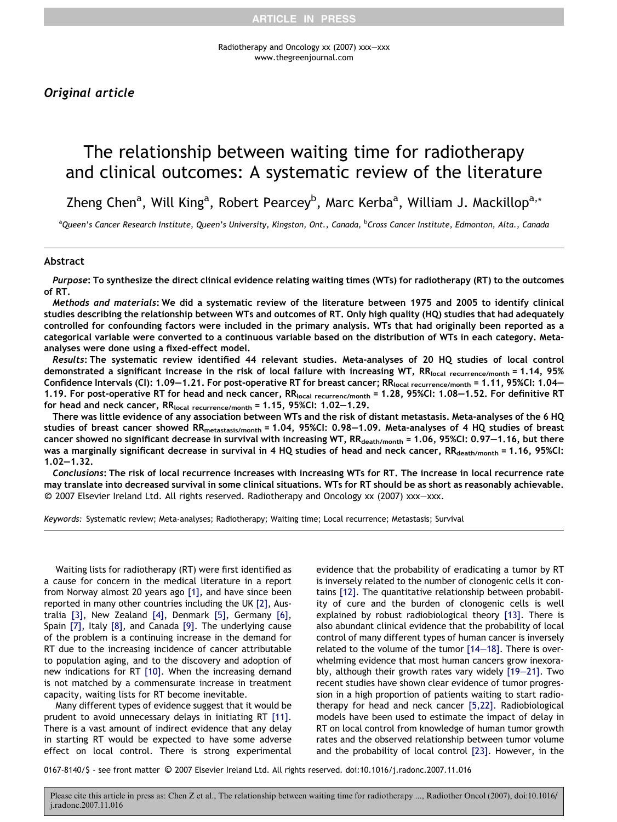Original article

# The relationship between waiting time for radiotherapy and clinical outcomes: A systematic review of the literature

Zheng Chen<sup>a</sup>, Will King<sup>a</sup>, Robert Pearcey<sup>b</sup>, Marc Kerba<sup>a</sup>, William J. Mackillop<sup>a,</sup>\*

<sup>a</sup>Queen's Cancer Research Institute, Queen's University, Kingston, Ont., Canada, <sup>b</sup>Cross Cancer Institute, Edmonton, Alta., Canada

### Abstract

Purpose: To synthesize the direct clinical evidence relating waiting times (WTs) for radiotherapy (RT) to the outcomes of RT.

Methods and materials: We did a systematic review of the literature between 1975 and 2005 to identify clinical studies describing the relationship between WTs and outcomes of RT. Only high quality (HQ) studies that had adequately controlled for confounding factors were included in the primary analysis. WTs that had originally been reported as a categorical variable were converted to a continuous variable based on the distribution of WTs in each category. Metaanalyses were done using a fixed-effect model.

Results: The systematic review identified 44 relevant studies. Meta-analyses of 20 HQ studies of local control demonstrated a significant increase in the risk of local failure with increasing WT,  $RR_{local\ recurrence}$  recurrence/month = 1.14, 95% Confidence Intervals (CI): 1.09–1.21. For post-operative RT for breast cancer;  $RR_{local\,recurrence/month} = 1.11$ , 95%CI: 1.04– 1.19. For post-operative RT for head and neck cancer, RR<sub>local recurrenc/month</sub> = 1.28, 95%CI: 1.08–1.52. For definitive RT for head and neck cancer, RR<sub>local recurrence/month</sub> = 1.15, 95%CI: 1.02-1.29.

There was little evidence of any association between WTs and the risk of distant metastasis. Meta-analyses of the 6 HQ studies of breast cancer showed RR<sub>metastasis/month</sub> = 1.04, 95%CI: 0.98-1.09. Meta-analyses of 4 HQ studies of breast cancer showed no significant decrease in survival with increasing WT,  $RR_{death/month} = 1.06$ , 95%CI: 0.97–1.16, but there was a marginally significant decrease in survival in 4 HQ studies of head and neck cancer,  $RR_{death/month} = 1.16$ , 95%CI: 1.02–1.32.

Conclusions: The risk of local recurrence increases with increasing WTs for RT. The increase in local recurrence rate may translate into decreased survival in some clinical situations. WTs for RT should be as short as reasonably achievable. -c 2007 Elsevier Ireland Ltd. All rights reserved. Radiotherapy and Oncology xx (2007) xxx–xxx.

Keywords: Systematic review; Meta-analyses; Radiotherapy; Waiting time; Local recurrence; Metastasis; Survival

Waiting lists for radiotherapy (RT) were first identified as a cause for concern in the medical literature in a report from Norway almost 20 years ago [\[1\],](#page-11-0) and have since been reported in many other countries including the UK [\[2\],](#page-11-0) Australia [\[3\]](#page-11-0), New Zealand [\[4\]](#page-11-0), Denmark [\[5\]](#page-11-0), Germany [\[6\]](#page-11-0), Spain [\[7\],](#page-11-0) Italy [\[8\]](#page-11-0), and Canada [\[9\].](#page-11-0) The underlying cause of the problem is a continuing increase in the demand for RT due to the increasing incidence of cancer attributable to population aging, and to the discovery and adoption of new indications for RT [\[10\].](#page-11-0) When the increasing demand is not matched by a commensurate increase in treatment capacity, waiting lists for RT become inevitable.

Many different types of evidence suggest that it would be prudent to avoid unnecessary delays in initiating RT [\[11\]](#page-11-0). There is a vast amount of indirect evidence that any delay in starting RT would be expected to have some adverse effect on local control. There is strong experimental evidence that the probability of eradicating a tumor by RT is inversely related to the number of clonogenic cells it contains [\[12\].](#page-11-0) The quantitative relationship between probability of cure and the burden of clonogenic cells is well explained by robust radiobiological theory [\[13\].](#page-11-0) There is also abundant clinical evidence that the probability of local control of many different types of human cancer is inversely related to the volume of the tumor [\[14–18\].](#page-11-0) There is overwhelming evidence that most human cancers grow inexorably, although their growth rates vary widely [\[19–21\]](#page-11-0). Two recent studies have shown clear evidence of tumor progression in a high proportion of patients waiting to start radiotherapy for head and neck cancer [\[5,22\]](#page-11-0). Radiobiological models have been used to estimate the impact of delay in RT on local control from knowledge of human tumor growth rates and the observed relationship between tumor volume and the probability of local control [\[23\]](#page-12-0). However, in the

0167-8140/\$ - see front matter © 2007 Elsevier Ireland Ltd. All rights reserved. doi:10.1016/j.radonc.2007.11.016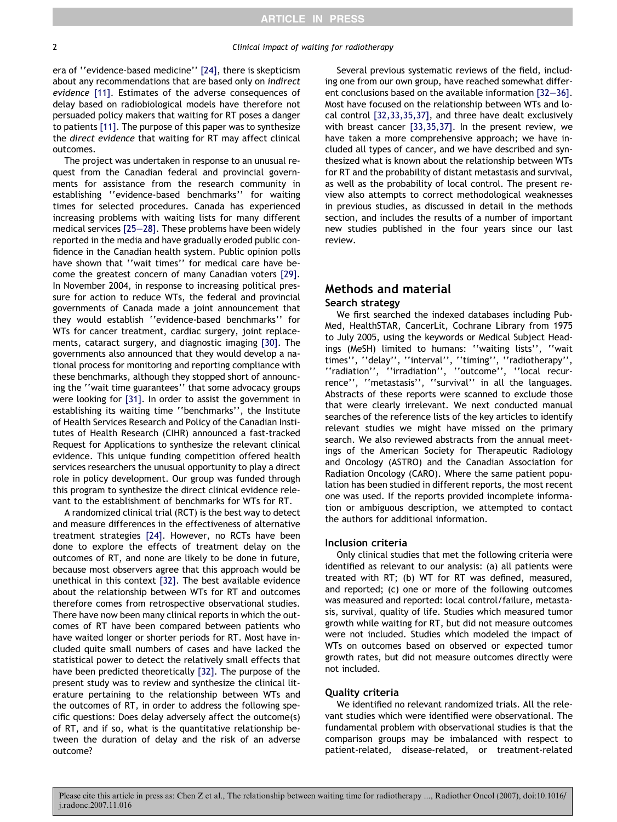era of ''evidence-based medicine'' [\[24\],](#page-12-0) there is skepticism about any recommendations that are based only on indirect evidence [\[11\].](#page-11-0) Estimates of the adverse consequences of delay based on radiobiological models have therefore not persuaded policy makers that waiting for RT poses a danger to patients [\[11\]](#page-11-0). The purpose of this paper was to synthesize the direct evidence that waiting for RT may affect clinical outcomes.

The project was undertaken in response to an unusual request from the Canadian federal and provincial governments for assistance from the research community in establishing ''evidence-based benchmarks'' for waiting times for selected procedures. Canada has experienced increasing problems with waiting lists for many different medical services [\[25–28\].](#page-12-0) These problems have been widely reported in the media and have gradually eroded public confidence in the Canadian health system. Public opinion polls have shown that ''wait times'' for medical care have become the greatest concern of many Canadian voters [\[29\].](#page-12-0) In November 2004, in response to increasing political pressure for action to reduce WTs, the federal and provincial governments of Canada made a joint announcement that they would establish ''evidence-based benchmarks'' for WTs for cancer treatment, cardiac surgery, joint replacements, cataract surgery, and diagnostic imaging [\[30\]](#page-12-0). The governments also announced that they would develop a national process for monitoring and reporting compliance with these benchmarks, although they stopped short of announcing the ''wait time guarantees'' that some advocacy groups were looking for [\[31\].](#page-12-0) In order to assist the government in establishing its waiting time ''benchmarks'', the Institute of Health Services Research and Policy of the Canadian Institutes of Health Research (CIHR) announced a fast-tracked Request for Applications to synthesize the relevant clinical evidence. This unique funding competition offered health services researchers the unusual opportunity to play a direct role in policy development. Our group was funded through this program to synthesize the direct clinical evidence relevant to the establishment of benchmarks for WTs for RT.

A randomized clinical trial (RCT) is the best way to detect and measure differences in the effectiveness of alternative treatment strategies [\[24\].](#page-12-0) However, no RCTs have been done to explore the effects of treatment delay on the outcomes of RT, and none are likely to be done in future, because most observers agree that this approach would be unethical in this context [\[32\].](#page-12-0) The best available evidence about the relationship between WTs for RT and outcomes therefore comes from retrospective observational studies. There have now been many clinical reports in which the outcomes of RT have been compared between patients who have waited longer or shorter periods for RT. Most have included quite small numbers of cases and have lacked the statistical power to detect the relatively small effects that have been predicted theoretically [\[32\].](#page-12-0) The purpose of the present study was to review and synthesize the clinical literature pertaining to the relationship between WTs and the outcomes of RT, in order to address the following specific questions: Does delay adversely affect the outcome(s) of RT, and if so, what is the quantitative relationship between the duration of delay and the risk of an adverse outcome?

Several previous systematic reviews of the field, including one from our own group, have reached somewhat different conclusions based on the available information [\[32–36\].](#page-12-0) Most have focused on the relationship between WTs and local control [\[32,33,35,37\],](#page-12-0) and three have dealt exclusively with breast cancer [\[33,35,37\].](#page-12-0) In the present review, we have taken a more comprehensive approach; we have included all types of cancer, and we have described and synthesized what is known about the relationship between WTs for RT and the probability of distant metastasis and survival, as well as the probability of local control. The present review also attempts to correct methodological weaknesses in previous studies, as discussed in detail in the methods section, and includes the results of a number of important new studies published in the four years since our last review.

# Methods and material

## Search strategy

We first searched the indexed databases including Pub-Med, HealthSTAR, CancerLit, Cochrane Library from 1975 to July 2005, using the keywords or Medical Subject Headings (MeSH) limited to humans: ''waiting lists'', ''wait times'', ''delay'', ''interval'', ''timing'', ''radiotherapy'', ''radiation'', ''irradiation'', ''outcome'', ''local recurrence'', ''metastasis'', ''survival'' in all the languages. Abstracts of these reports were scanned to exclude those that were clearly irrelevant. We next conducted manual searches of the reference lists of the key articles to identify relevant studies we might have missed on the primary search. We also reviewed abstracts from the annual meetings of the American Society for Therapeutic Radiology and Oncology (ASTRO) and the Canadian Association for Radiation Oncology (CARO). Where the same patient population has been studied in different reports, the most recent one was used. If the reports provided incomplete information or ambiguous description, we attempted to contact the authors for additional information.

### Inclusion criteria

Only clinical studies that met the following criteria were identified as relevant to our analysis: (a) all patients were treated with RT; (b) WT for RT was defined, measured, and reported; (c) one or more of the following outcomes was measured and reported: local control/failure, metastasis, survival, quality of life. Studies which measured tumor growth while waiting for RT, but did not measure outcomes were not included. Studies which modeled the impact of WTs on outcomes based on observed or expected tumor growth rates, but did not measure outcomes directly were not included.

## Quality criteria

We identified no relevant randomized trials. All the relevant studies which were identified were observational. The fundamental problem with observational studies is that the comparison groups may be imbalanced with respect to patient-related, disease-related, or treatment-related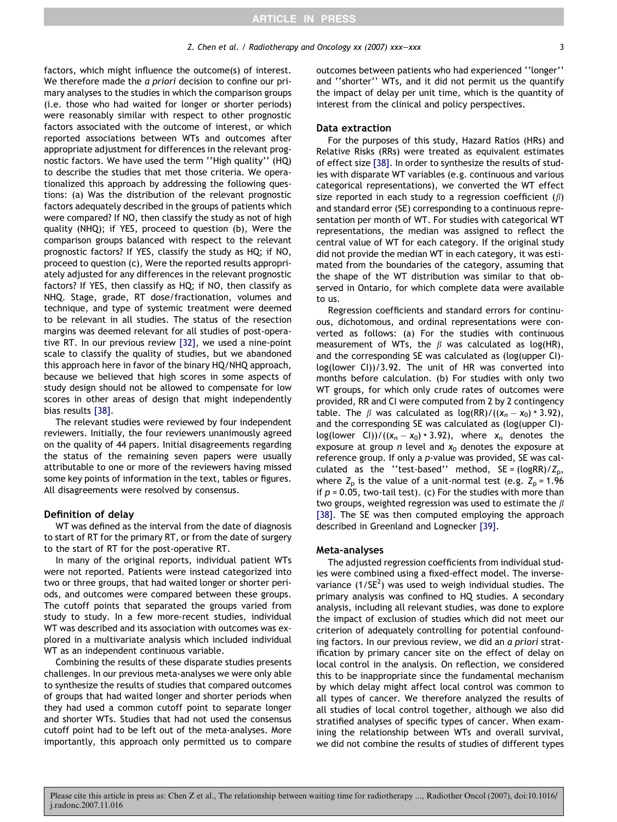factors, which might influence the outcome(s) of interest. We therefore made the *a priori* decision to confine our primary analyses to the studies in which the comparison groups (i.e. those who had waited for longer or shorter periods) were reasonably similar with respect to other prognostic factors associated with the outcome of interest, or which reported associations between WTs and outcomes after appropriate adjustment for differences in the relevant prognostic factors. We have used the term ''High quality'' (HQ) to describe the studies that met those criteria. We operationalized this approach by addressing the following questions: (a) Was the distribution of the relevant prognostic factors adequately described in the groups of patients which were compared? If NO, then classify the study as not of high quality (NHQ); if YES, proceed to question (b), Were the comparison groups balanced with respect to the relevant prognostic factors? If YES, classify the study as HQ; if NO, proceed to question (c), Were the reported results appropriately adjusted for any differences in the relevant prognostic factors? If YES, then classify as HQ; if NO, then classify as NHQ. Stage, grade, RT dose/fractionation, volumes and technique, and type of systemic treatment were deemed to be relevant in all studies. The status of the resection margins was deemed relevant for all studies of post-operative RT. In our previous review [\[32\],](#page-12-0) we used a nine-point scale to classify the quality of studies, but we abandoned this approach here in favor of the binary HQ/NHQ approach, because we believed that high scores in some aspects of study design should not be allowed to compensate for low scores in other areas of design that might independently bias results [\[38\].](#page-12-0)

The relevant studies were reviewed by four independent reviewers. Initially, the four reviewers unanimously agreed on the quality of 44 papers. Initial disagreements regarding the status of the remaining seven papers were usually attributable to one or more of the reviewers having missed some key points of information in the text, tables or figures. All disagreements were resolved by consensus.

#### Definition of delay

WT was defined as the interval from the date of diagnosis to start of RT for the primary RT, or from the date of surgery to the start of RT for the post-operative RT.

In many of the original reports, individual patient WTs were not reported. Patients were instead categorized into two or three groups, that had waited longer or shorter periods, and outcomes were compared between these groups. The cutoff points that separated the groups varied from study to study. In a few more-recent studies, individual WT was described and its association with outcomes was explored in a multivariate analysis which included individual WT as an independent continuous variable.

Combining the results of these disparate studies presents challenges. In our previous meta-analyses we were only able to synthesize the results of studies that compared outcomes of groups that had waited longer and shorter periods when they had used a common cutoff point to separate longer and shorter WTs. Studies that had not used the consensus cutoff point had to be left out of the meta-analyses. More importantly, this approach only permitted us to compare outcomes between patients who had experienced ''longer'' and ''shorter'' WTs, and it did not permit us the quantify the impact of delay per unit time, which is the quantity of interest from the clinical and policy perspectives.

## Data extraction

For the purposes of this study, Hazard Ratios (HRs) and Relative Risks (RRs) were treated as equivalent estimates of effect size [\[38\]](#page-12-0). In order to synthesize the results of studies with disparate WT variables (e.g. continuous and various categorical representations), we converted the WT effect size reported in each study to a regression coefficient  $(\beta)$ and standard error (SE) corresponding to a continuous representation per month of WT. For studies with categorical WT representations, the median was assigned to reflect the central value of WT for each category. If the original study did not provide the median WT in each category, it was estimated from the boundaries of the category, assuming that the shape of the WT distribution was similar to that observed in Ontario, for which complete data were available to us.

Regression coefficients and standard errors for continuous, dichotomous, and ordinal representations were converted as follows: (a) For the studies with continuous measurement of WTs, the  $\beta$  was calculated as log(HR), and the corresponding SE was calculated as (log(upper CI) log(lower CI))/3.92. The unit of HR was converted into months before calculation. (b) For studies with only two WT groups, for which only crude rates of outcomes were provided, RR and CI were computed from 2 by 2 contingency table. The  $\beta$  was calculated as log(RR)/(( $x_n - x_0$ ) \* 3.92), and the corresponding SE was calculated as (log(upper CI) log(lower CI))/( $(x_n - x_0) * 3.92$ ), where  $x_n$  denotes the exposure at group  $n$  level and  $x_0$  denotes the exposure at reference group. If only a p-value was provided, SE was calculated as the "test-based" method,  $SE = (logRR)/Z_p$ , where  $Z_p$  is the value of a unit-normal test (e.g.  $Z_p = 1.96$ if  $p = 0.05$ , two-tail test). (c) For the studies with more than two groups, weighted regression was used to estimate the  $\beta$ [\[38\]](#page-12-0). The SE was then computed employing the approach described in Greenland and Lognecker [\[39\].](#page-12-0)

#### Meta-analyses

The adjusted regression coefficients from individual studies were combined using a fixed-effect model. The inversevariance  $(1/SE<sup>2</sup>)$  was used to weigh individual studies. The primary analysis was confined to HQ studies. A secondary analysis, including all relevant studies, was done to explore the impact of exclusion of studies which did not meet our criterion of adequately controlling for potential confounding factors. In our previous review, we did an a priori stratification by primary cancer site on the effect of delay on local control in the analysis. On reflection, we considered this to be inappropriate since the fundamental mechanism by which delay might affect local control was common to all types of cancer. We therefore analyzed the results of all studies of local control together, although we also did stratified analyses of specific types of cancer. When examining the relationship between WTs and overall survival, we did not combine the results of studies of different types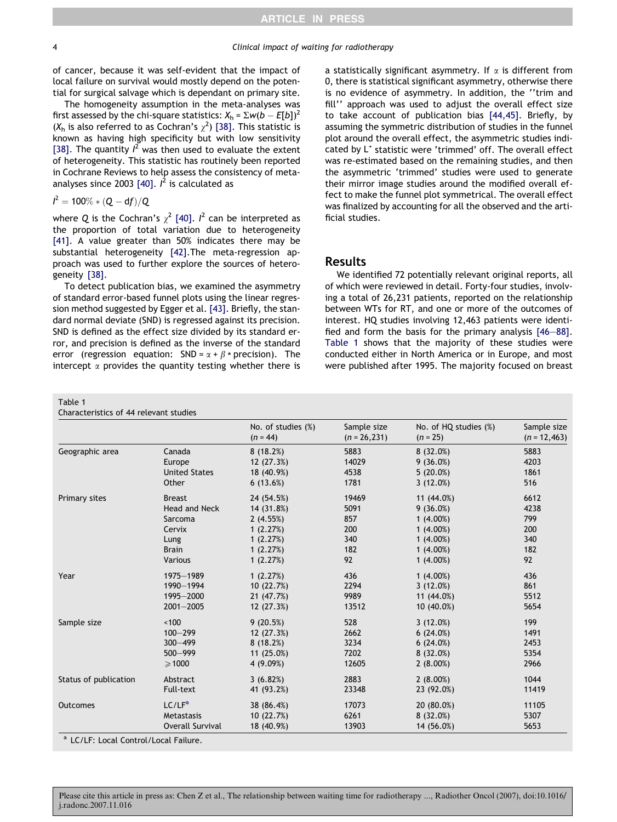of cancer, because it was self-evident that the impact of local failure on survival would mostly depend on the potential for surgical salvage which is dependant on primary site.

The homogeneity assumption in the meta-analyses was first assessed by the chi-square statistics:  $X_h = \sum w(b - E[b])^2$ ( $X_h$  is also referred to as Cochran's  $\chi^2$ ) [\[38\].](#page-12-0) This statistic is known as having high specificity but with low sensitivity [\[38\].](#page-12-0) The quantity  $I^2$  was then used to evaluate the extent of heterogeneity. This statistic has routinely been reported in Cochrane Reviews to help assess the consistency of metaanalyses since 2003  $[40]$ .  $l^2$  is calculated as

$$
I^2=100\%*(Q-df)/Q
$$

where Q is the Cochran's  $\chi^2$  [\[40\]](#page-12-0).  $l^2$  can be interpreted as the proportion of total variation due to heterogeneity [\[41\].](#page-12-0) A value greater than 50% indicates there may be substantial heterogeneity [\[42\]](#page-12-0).The meta-regression approach was used to further explore the sources of heterogeneity [\[38\]](#page-12-0).

To detect publication bias, we examined the asymmetry of standard error-based funnel plots using the linear regression method suggested by Egger et al. [\[43\]](#page-12-0). Briefly, the standard normal deviate (SND) is regressed against its precision. SND is defined as the effect size divided by its standard error, and precision is defined as the inverse of the standard error (regression equation: SND =  $\alpha + \beta$  \* precision). The intercept  $\alpha$  provides the quantity testing whether there is a statistically significant asymmetry. If  $\alpha$  is different from 0, there is statistical significant asymmetry, otherwise there is no evidence of asymmetry. In addition, the ''trim and fill'' approach was used to adjust the overall effect size to take account of publication bias [\[44,45\].](#page-12-0) Briefly, by assuming the symmetric distribution of studies in the funnel plot around the overall effect, the asymmetric studies indicated by L<sup>+</sup> statistic were 'trimmed' off. The overall effect was re-estimated based on the remaining studies, and then the asymmetric 'trimmed' studies were used to generate their mirror image studies around the modified overall effect to make the funnel plot symmetrical. The overall effect was finalized by accounting for all the observed and the artificial studies.

## Results

We identified 72 potentially relevant original reports, all of which were reviewed in detail. Forty-four studies, involving a total of 26,231 patients, reported on the relationship between WTs for RT, and one or more of the outcomes of interest. HQ studies involving 12,463 patients were identified and form the basis for the primary analysis [\[46–88\].](#page-12-0) Table 1 shows that the majority of these studies were conducted either in North America or in Europe, and most were published after 1995. The majority focused on breast

Table 1

|                       |                      | No. of studies (%)<br>$(n = 44)$ | Sample size<br>$(n = 26, 231)$ | No. of HQ studies (%)<br>$(n = 25)$ | Sample size<br>$(n = 12, 463)$ |
|-----------------------|----------------------|----------------------------------|--------------------------------|-------------------------------------|--------------------------------|
| Geographic area       | Canada               | 8(18.2%)                         | 5883                           | 8(32.0%)                            | 5883                           |
|                       | Europe               | 12(27.3%)                        | 14029                          | 9(36.0%)                            | 4203                           |
|                       | <b>United States</b> | 18 (40.9%)                       | 4538                           | $5(20.0\%)$                         | 1861                           |
|                       | Other                | 6(13.6%)                         | 1781                           | 3(12.0%)                            | 516                            |
| Primary sites         | <b>Breast</b>        | 24 (54.5%)                       | 19469                          | 11 (44.0%)                          | 6612                           |
|                       | <b>Head and Neck</b> | 14 (31.8%)                       | 5091                           | 9(36.0%)                            | 4238                           |
|                       | Sarcoma              | 2(4.55%)                         | 857                            | 1(4.00%)                            | 799                            |
|                       | Cervix               | 1(2.27%)                         | 200                            | 1(4.00%)                            | 200                            |
|                       | Lung                 | 1(2.27%)                         | 340                            | 1(4.00%)                            | 340                            |
|                       | <b>Brain</b>         | 1(2.27%)                         | 182                            | 1(4.00%)                            | 182                            |
|                       | Various              | 1(2.27%)                         | 92                             | 1(4.00%)                            | 92                             |
| Year                  | 1975-1989            | 1(2.27%)                         | 436                            | 1(4.00%)                            | 436                            |
|                       | 1990-1994            | 10 (22.7%)                       | 2294                           | 3(12.0%)                            | 861                            |
|                       | 1995-2000            | 21 (47.7%)                       | 9989                           | 11 (44.0%)                          | 5512                           |
|                       | $2001 - 2005$        | 12(27.3%)                        | 13512                          | 10 (40.0%)                          | 5654                           |
| Sample size           | ~100                 | 9(20.5%)                         | 528                            | 3(12.0%)                            | 199                            |
|                       | $100 - 299$          | 12(27.3%)                        | 2662                           | 6(24.0%)                            | 1491                           |
|                       | $300 - 499$          | 8(18.2%)                         | 3234                           | 6(24.0%)                            | 2453                           |
|                       | $500 - 999$          | 11(25.0%)                        | 7202                           | 8(32.0%)                            | 5354                           |
|                       | $\geqslant$ 1000     | 4 (9.09%)                        | 12605                          | $2(8.00\%)$                         | 2966                           |
| Status of publication | Abstract             | 3(6.82%)                         | 2883                           | $2(8.00\%)$                         | 1044                           |
|                       | Full-text            | 41 (93.2%)                       | 23348                          | 23 (92.0%)                          | 11419                          |
| Outcomes              | LC/LF <sup>a</sup>   | 38 (86.4%)                       | 17073                          | 20 (80.0%)                          | 11105                          |
|                       | Metastasis           | 10(22.7%)                        | 6261                           | 8(32.0%)                            | 5307                           |
|                       | Overall Survival     | 18 (40.9%)                       | 13903                          | 14 (56.0%)                          | 5653                           |

Please cite this article in press as: Chen Z et al., The relationship between waiting time for radiotherapy ..., Radiother Oncol (2007), doi:10.1016/ j.radonc.2007.11.016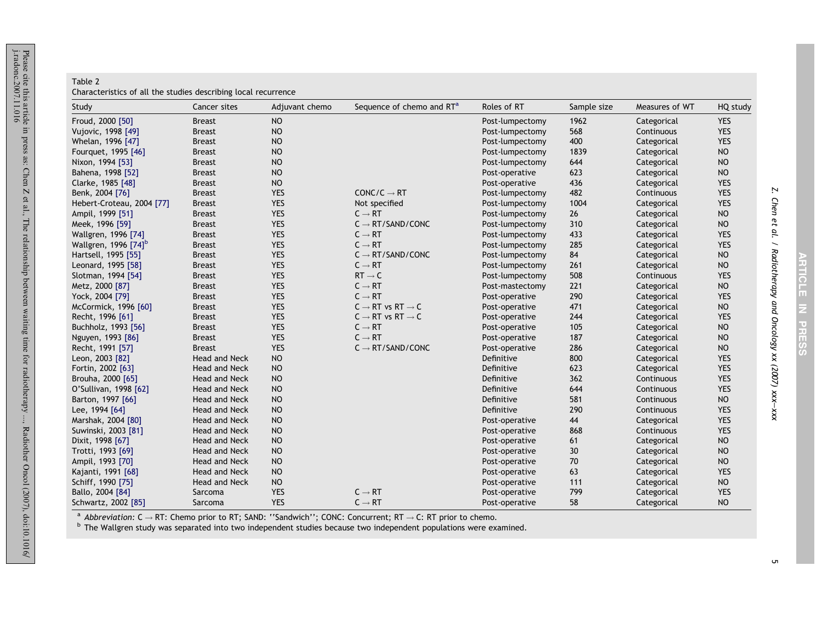| l<br>l<br>l<br>Ĭ<br>١                   | J | I | j<br>101 |
|-----------------------------------------|---|---|----------|
| ֧֖֧֚֚֚֚֚֚֚֚֚֚֚֚֚֚֚֚֚֚֚֚֝֝ <u>֓</u><br>i |   |   |          |

<span id="page-4-0"></span> $\Xi$  .<br> <br> <br> :

| Table 2<br>Characteristics of all the studies describing local recurrence |                      |                |                                          |                 |             |                |            |
|---------------------------------------------------------------------------|----------------------|----------------|------------------------------------------|-----------------|-------------|----------------|------------|
| Study                                                                     | Cancer sites         | Adjuvant chemo | Sequence of chemo and RT <sup>a</sup>    | Roles of RT     | Sample size | Measures of WT | HQ study   |
| Froud, 2000 [50]                                                          | <b>Breast</b>        | <b>NO</b>      |                                          | Post-lumpectomy | 1962        | Categorical    | <b>YES</b> |
| Vujovic, 1998 [49]                                                        | <b>Breast</b>        | <b>NO</b>      |                                          | Post-lumpectomy | 568         | Continuous     | <b>YES</b> |
| Whelan, 1996 [47]                                                         | <b>Breast</b>        | <b>NO</b>      |                                          | Post-lumpectomy | 400         | Categorical    | <b>YES</b> |
| Fourquet, 1995 [46]                                                       | <b>Breast</b>        | <b>NO</b>      |                                          | Post-lumpectomy | 1839        | Categorical    | <b>NO</b>  |
| Nixon, 1994 [53]                                                          | <b>Breast</b>        | <b>NO</b>      |                                          | Post-lumpectomy | 644         | Categorical    | <b>NO</b>  |
| Bahena, 1998 [52]                                                         | <b>Breast</b>        | <b>NO</b>      |                                          | Post-operative  | 623         | Categorical    | <b>NO</b>  |
| Clarke, 1985 [48]                                                         | <b>Breast</b>        | N <sub>O</sub> |                                          | Post-operative  | 436         | Categorical    | <b>YES</b> |
| Benk, 2004 [76]                                                           | <b>Breast</b>        | <b>YES</b>     | $CONC/C \rightarrow RT$                  | Post-lumpectomy | 482         | Continuous     | <b>YES</b> |
| Hebert-Croteau, 2004 [77]                                                 | <b>Breast</b>        | <b>YES</b>     | Not specified                            | Post-lumpectomy | 1004        | Categorical    | <b>YES</b> |
| Ampil, 1999 [51]                                                          | <b>Breast</b>        | <b>YES</b>     | $C \rightarrow RT$                       | Post-lumpectomy | 26          | Categorical    | <b>NO</b>  |
| Meek, 1996 [59]                                                           | <b>Breast</b>        | <b>YES</b>     | $C \rightarrow RT/SAND/CONC$             | Post-lumpectomy | 310         | Categorical    | <b>NO</b>  |
| Wallgren, 1996 [74]                                                       | <b>Breast</b>        | <b>YES</b>     | $C \rightarrow RT$                       | Post-lumpectomy | 433         | Categorical    | <b>YES</b> |
| Wallgren, 1996 [74] <sup>b</sup>                                          | <b>Breast</b>        | <b>YES</b>     | $C \rightarrow RT$                       | Post-lumpectomy | 285         | Categorical    | <b>YES</b> |
| Hartsell, 1995 [55]                                                       | <b>Breast</b>        | <b>YES</b>     | $C \rightarrow RT/SAND/CONC$             | Post-lumpectomy | 84          | Categorical    | <b>NO</b>  |
| Leonard, 1995 [58]                                                        | <b>Breast</b>        | <b>YES</b>     | $C \rightarrow RT$                       | Post-lumpectomy | 261         | Categorical    | NO         |
| Slotman, 1994 [54]                                                        | <b>Breast</b>        | <b>YES</b>     | $RT \rightarrow C$                       | Post-lumpectomy | 508         | Continuous     | <b>YES</b> |
| Metz, 2000 [87]                                                           | <b>Breast</b>        | <b>YES</b>     | $C \rightarrow RT$                       | Post-mastectomy | 221         | Categorical    | <b>NO</b>  |
| Yock, 2004 [79]                                                           | <b>Breast</b>        | <b>YES</b>     | $C \rightarrow RT$                       | Post-operative  | 290         | Categorical    | <b>YES</b> |
| McCormick, 1996 [60]                                                      | <b>Breast</b>        | <b>YES</b>     | $C \rightarrow RT$ vs $RT \rightarrow C$ | Post-operative  | 471         | Categorical    | <b>NO</b>  |
| Recht, 1996 [61]                                                          | <b>Breast</b>        | <b>YES</b>     | $C \rightarrow RT$ vs RT $\rightarrow C$ | Post-operative  | 244         | Categorical    | <b>YES</b> |
| Buchholz, 1993 [56]                                                       | <b>Breast</b>        | <b>YES</b>     | $C \rightarrow RT$                       | Post-operative  | 105         | Categorical    | <b>NO</b>  |
| Nguyen, 1993 [86]                                                         | <b>Breast</b>        | <b>YES</b>     | $C \rightarrow RT$                       | Post-operative  | 187         | Categorical    | <b>NO</b>  |
| Recht, 1991 [57]                                                          | <b>Breast</b>        | <b>YES</b>     | $C \rightarrow RT/SAND/CONC$             | Post-operative  | 286         | Categorical    | <b>NO</b>  |
| Leon, 2003 [82]                                                           | Head and Neck        | <b>NO</b>      |                                          | Definitive      | 800         | Categorical    | <b>YES</b> |
| Fortin, 2002 [63]                                                         | Head and Neck        | <b>NO</b>      |                                          | Definitive      | 623         | Categorical    | <b>YES</b> |
| Brouha, 2000 [65]                                                         | Head and Neck        | <b>NO</b>      |                                          | Definitive      | 362         | Continuous     | <b>YES</b> |
| O'Sullivan, 1998 [62]                                                     | Head and Neck        | <b>NO</b>      |                                          | Definitive      | 644         | Continuous     | <b>YES</b> |
| Barton, 1997 [66]                                                         | <b>Head and Neck</b> | <b>NO</b>      |                                          | Definitive      | 581         | Continuous     | <b>NO</b>  |
| Lee, 1994 [64]                                                            | Head and Neck        | <b>NO</b>      |                                          | Definitive      | 290         | Continuous     | <b>YES</b> |
| Marshak, 2004 [80]                                                        | Head and Neck        | <b>NO</b>      |                                          | Post-operative  | 44          | Categorical    | <b>YES</b> |
| Suwinski, 2003 [81]                                                       | Head and Neck        | <b>NO</b>      |                                          | Post-operative  | 868         | Continuous     | <b>YES</b> |
| Dixit, 1998 [67]                                                          | Head and Neck        | <b>NO</b>      |                                          | Post-operative  | 61          | Categorical    | <b>NO</b>  |
| Trotti, 1993 [69]                                                         | Head and Neck        | <b>NO</b>      |                                          | Post-operative  | 30          | Categorical    | <b>NO</b>  |
| Ampil, 1993 [70]                                                          | Head and Neck        | <b>NO</b>      |                                          | Post-operative  | 70          | Categorical    | <b>NO</b>  |
| Kajanti, 1991 [68]                                                        | Head and Neck        | <b>NO</b>      |                                          | Post-operative  | 63          | Categorical    | <b>YES</b> |
| Schiff, 1990 [75]                                                         | Head and Neck        | <b>NO</b>      |                                          | Post-operative  | 111         | Categorical    | <b>NO</b>  |
| Ballo, 2004 [84]                                                          | Sarcoma              | <b>YES</b>     | $C \rightarrow RT$                       | Post-operative  | 799         | Categorical    | <b>YES</b> |
| Schwartz, 2002 [85]                                                       | Sarcoma              | <b>YES</b>     | $C \rightarrow RT$                       | Post-operative  | 58          | Categorical    | <b>NO</b>  |

 $^{\rm a}$  *Abbreviation*: C  $\rightarrow$  RT: Chemo prior to RT; SAND: ''Sandwich''; CONC: Concurrent; RT  $\rightarrow$  C: RT prior to chemo.<br><sup>b</sup> The Wallgren study was separated into two independent studies because two independent populatio

Z. Chen et al. / Radiotherapy and Oncology xx (2007) xxx–xxx

Z. Chen et al. / Radiotherapy and Oncology xx (2007) xxx-xxx

ARTICLE IN PRESS

Ξ ー<br>DHC、

**TTCLE**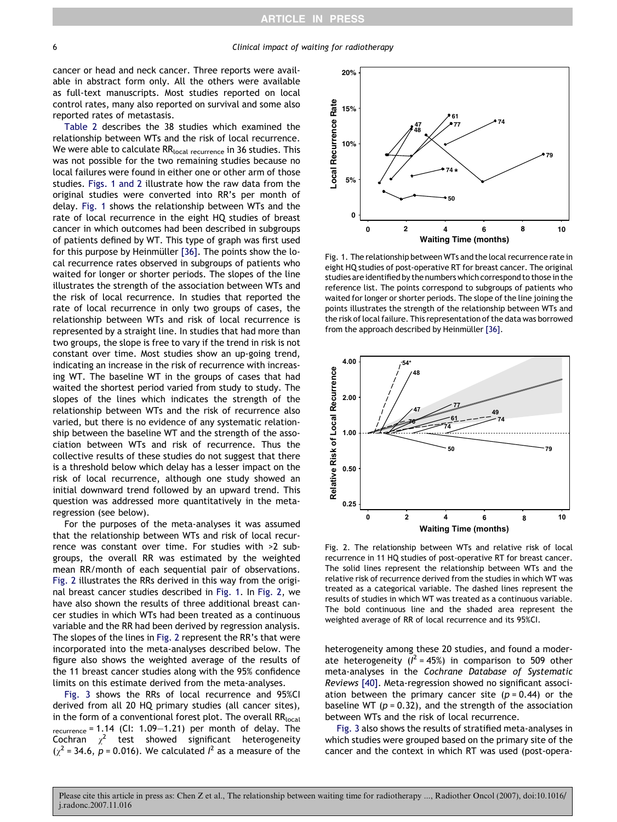cancer or head and neck cancer. Three reports were available in abstract form only. All the others were available as full-text manuscripts. Most studies reported on local control rates, many also reported on survival and some also reported rates of metastasis.

[Table 2](#page-4-0) describes the 38 studies which examined the relationship between WTs and the risk of local recurrence. We were able to calculate RR<sub>local recurrence</sub> in 36 studies. This was not possible for the two remaining studies because no local failures were found in either one or other arm of those studies. Figs. 1 and 2 illustrate how the raw data from the original studies were converted into RR's per month of delay. Fig. 1 shows the relationship between WTs and the rate of local recurrence in the eight HQ studies of breast cancer in which outcomes had been described in subgroups of patients defined by WT. This type of graph was first used for this purpose by Heinmüller [\[36\].](#page-12-0) The points show the local recurrence rates observed in subgroups of patients who waited for longer or shorter periods. The slopes of the line illustrates the strength of the association between WTs and the risk of local recurrence. In studies that reported the rate of local recurrence in only two groups of cases, the relationship between WTs and risk of local recurrence is represented by a straight line. In studies that had more than two groups, the slope is free to vary if the trend in risk is not constant over time. Most studies show an up-going trend, indicating an increase in the risk of recurrence with increasing WT. The baseline WT in the groups of cases that had waited the shortest period varied from study to study. The slopes of the lines which indicates the strength of the relationship between WTs and the risk of recurrence also varied, but there is no evidence of any systematic relationship between the baseline WT and the strength of the association between WTs and risk of recurrence. Thus the collective results of these studies do not suggest that there is a threshold below which delay has a lesser impact on the risk of local recurrence, although one study showed an initial downward trend followed by an upward trend. This question was addressed more quantitatively in the metaregression (see below).

For the purposes of the meta-analyses it was assumed that the relationship between WTs and risk of local recurrence was constant over time. For studies with >2 subgroups, the overall RR was estimated by the weighted mean RR/month of each sequential pair of observations. Fig. 2 illustrates the RRs derived in this way from the original breast cancer studies described in Fig. 1. In Fig. 2, we have also shown the results of three additional breast cancer studies in which WTs had been treated as a continuous variable and the RR had been derived by regression analysis. The slopes of the lines in Fig. 2 represent the RR's that were incorporated into the meta-analyses described below. The figure also shows the weighted average of the results of the 11 breast cancer studies along with the 95% confidence limits on this estimate derived from the meta-analyses.

[Fig. 3](#page-6-0) shows the RRs of local recurrence and 95%CI derived from all 20 HQ primary studies (all cancer sites), in the form of a conventional forest plot. The overall  $RR<sub>local</sub>$  $recurrence = 1.14$  (CI: 1.09-1.21) per month of delay. The Cochran  $\chi^2$  test showed significant heterogeneity  $(\chi^2 = 34.6, p = 0.016)$ . We calculated  $l^2$  as a measure of the

Fig. 1. The relationship between WTs and the local recurrence rate in eight HQ studies of post-operative RT for breast cancer. The original studies are identified by the numbers which correspond to those in the reference list. The points correspond to subgroups of patients who waited for longer or shorter periods. The slope of the line joining the points illustrates the strength of the relationship between WTs and the risk of local failure. This representation of the data was borrowed from the approach described by Heinmüller  $[36]$ .

**48**

**47**

**0 4 10**

**2 6 8**

**<sup>61</sup> <sup>74</sup> <sup>77</sup>**

**79**

**50**

**74**

**\***

**Waiting Time (months)**



Fig. 2. The relationship between WTs and relative risk of local recurrence in 11 HQ studies of post-operative RT for breast cancer. The solid lines represent the relationship between WTs and the relative risk of recurrence derived from the studies in which WT was treated as a categorical variable. The dashed lines represent the results of studies in which WT was treated as a continuous variable. The bold continuous line and the shaded area represent the weighted average of RR of local recurrence and its 95%CI.

heterogeneity among these 20 studies, and found a moderate heterogeneity  $(I^2 = 45%)$  in comparison to 509 other meta-analyses in the Cochrane Database of Systematic Reviews [\[40\].](#page-12-0) Meta-regression showed no significant association between the primary cancer site  $(p = 0.44)$  or the baseline WT ( $p = 0.32$ ), and the strength of the association between WTs and the risk of local recurrence.

[Fig. 3](#page-6-0) also shows the results of stratified meta-analyses in which studies were grouped based on the primary site of the cancer and the context in which RT was used (post-opera-

**0**

**5%**

**10%**

**Local Recurrence Rate**

Local Recurrence Rate

**15%**

**20%**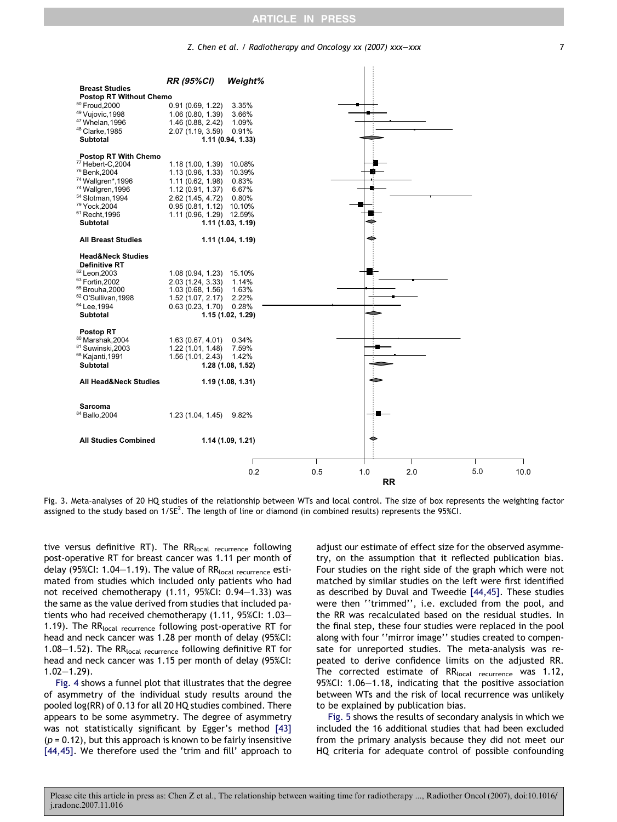#### Z. Chen et al. / Radiotherapy and Oncology xx (2007) xxx–xxx 7

<span id="page-6-0"></span>

Fig. 3. Meta-analyses of 20 HQ studies of the relationship between WTs and local control. The size of box represents the weighting factor assigned to the study based on  $1/SE^2$ . The length of line or diamond (in combined results) represents the 95%CI.

tive versus definitive RT). The RR<sub>local recurrence</sub> following post-operative RT for breast cancer was 1.11 per month of delay (95%CI: 1.04-1.19). The value of RR<sub>local recurrence</sub> estimated from studies which included only patients who had not received chemotherapy (1.11, 95%CI: 0.94–1.33) was the same as the value derived from studies that included patients who had received chemotherapy (1.11, 95%CI: 1.03– 1.19). The  $RR<sub>local recurrence</sub>$  following post-operative RT for head and neck cancer was 1.28 per month of delay (95%CI: 1.08–1.52). The  $RR_{local\ recurrence}$  following definitive RT for head and neck cancer was 1.15 per month of delay (95%CI:  $1.02 - 1.29$ ).

[Fig. 4](#page-7-0) shows a funnel plot that illustrates that the degree of asymmetry of the individual study results around the pooled log(RR) of 0.13 for all 20 HQ studies combined. There appears to be some asymmetry. The degree of asymmetry was not statistically significant by Egger's method [\[43\]](#page-12-0)  $(p = 0.12)$ , but this approach is known to be fairly insensitive [\[44,45\].](#page-12-0) We therefore used the 'trim and fill' approach to adjust our estimate of effect size for the observed asymmetry, on the assumption that it reflected publication bias. Four studies on the right side of the graph which were not matched by similar studies on the left were first identified as described by Duval and Tweedie [\[44,45\].](#page-12-0) These studies were then ''trimmed'', i.e. excluded from the pool, and the RR was recalculated based on the residual studies. In the final step, these four studies were replaced in the pool along with four ''mirror image'' studies created to compensate for unreported studies. The meta-analysis was repeated to derive confidence limits on the adjusted RR. The corrected estimate of RR<sub>local recurrence</sub> was 1.12, 95%CI: 1.06–1.18, indicating that the positive association between WTs and the risk of local recurrence was unlikely to be explained by publication bias.

[Fig. 5](#page-8-0) shows the results of secondary analysis in which we included the 16 additional studies that had been excluded from the primary analysis because they did not meet our HQ criteria for adequate control of possible confounding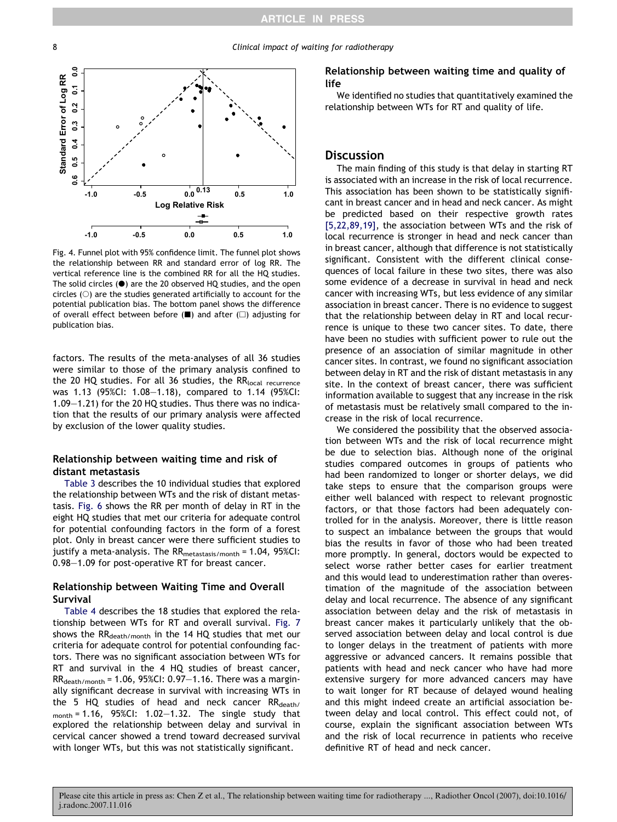<span id="page-7-0"></span>

Fig. 4. Funnel plot with 95% confidence limit. The funnel plot shows the relationship between RR and standard error of log RR. The vertical reference line is the combined RR for all the HQ studies. The solid circles  $(\bullet)$  are the 20 observed HQ studies, and the open circles  $( \circ )$  are the studies generated artificially to account for the potential publication bias. The bottom panel shows the difference of overall effect between before  $(\blacksquare)$  and after  $(\square)$  adjusting for publication bias.

factors. The results of the meta-analyses of all 36 studies were similar to those of the primary analysis confined to the 20 HQ studies. For all 36 studies, the RR<sub>local recurrence</sub> was 1.13 (95%CI: 1.08–1.18), compared to 1.14 (95%CI: 1.09–1.21) for the 20 HQ studies. Thus there was no indication that the results of our primary analysis were affected by exclusion of the lower quality studies.

# Relationship between waiting time and risk of distant metastasis

[Table 3](#page-9-0) describes the 10 individual studies that explored the relationship between WTs and the risk of distant metastasis. [Fig. 6](#page-9-0) shows the RR per month of delay in RT in the eight HQ studies that met our criteria for adequate control for potential confounding factors in the form of a forest plot. Only in breast cancer were there sufficient studies to justify a meta-analysis. The  $RR_{\text{metastasis/month}} = 1.04$ , 95%CI: 0.98–1.09 for post-operative RT for breast cancer.

# Relationship between Waiting Time and Overall Survival

[Table 4](#page-10-0) describes the 18 studies that explored the relationship between WTs for RT and overall survival. [Fig. 7](#page-10-0) shows the  $RR_{death/month}$  in the 14 HQ studies that met our criteria for adequate control for potential confounding factors. There was no significant association between WTs for RT and survival in the 4 HQ studies of breast cancer,  $RR_{death/month} = 1.06, 95\%$ CI: 0.97-1.16. There was a marginally significant decrease in survival with increasing WTs in the 5 HQ studies of head and neck cancer  $RR_{death}$  $_{\rm month}$  = 1.16, 95%CI: 1.02-1.32. The single study that explored the relationship between delay and survival in cervical cancer showed a trend toward decreased survival with longer WTs, but this was not statistically significant.

## Relationship between waiting time and quality of life

We identified no studies that quantitatively examined the relationship between WTs for RT and quality of life.

# **Discussion**

The main finding of this study is that delay in starting RT is associated with an increase in the risk of local recurrence. This association has been shown to be statistically significant in breast cancer and in head and neck cancer. As might be predicted based on their respective growth rates [\[5,22,89,19\]](#page-11-0), the association between WTs and the risk of local recurrence is stronger in head and neck cancer than in breast cancer, although that difference is not statistically significant. Consistent with the different clinical consequences of local failure in these two sites, there was also some evidence of a decrease in survival in head and neck cancer with increasing WTs, but less evidence of any similar association in breast cancer. There is no evidence to suggest that the relationship between delay in RT and local recurrence is unique to these two cancer sites. To date, there have been no studies with sufficient power to rule out the presence of an association of similar magnitude in other cancer sites. In contrast, we found no significant association between delay in RT and the risk of distant metastasis in any site. In the context of breast cancer, there was sufficient information available to suggest that any increase in the risk of metastasis must be relatively small compared to the increase in the risk of local recurrence.

We considered the possibility that the observed association between WTs and the risk of local recurrence might be due to selection bias. Although none of the original studies compared outcomes in groups of patients who had been randomized to longer or shorter delays, we did take steps to ensure that the comparison groups were either well balanced with respect to relevant prognostic factors, or that those factors had been adequately controlled for in the analysis. Moreover, there is little reason to suspect an imbalance between the groups that would bias the results in favor of those who had been treated more promptly. In general, doctors would be expected to select worse rather better cases for earlier treatment and this would lead to underestimation rather than overestimation of the magnitude of the association between delay and local recurrence. The absence of any significant association between delay and the risk of metastasis in breast cancer makes it particularly unlikely that the observed association between delay and local control is due to longer delays in the treatment of patients with more aggressive or advanced cancers. It remains possible that patients with head and neck cancer who have had more extensive surgery for more advanced cancers may have to wait longer for RT because of delayed wound healing and this might indeed create an artificial association between delay and local control. This effect could not, of course, explain the significant association between WTs and the risk of local recurrence in patients who receive definitive RT of head and neck cancer.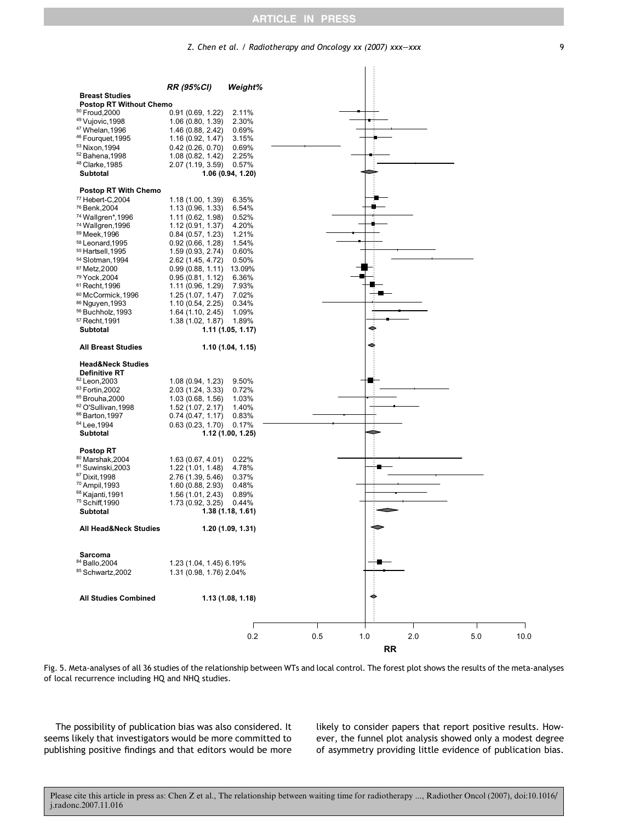# ARTICLE IN PRESS

#### Z. Chen et al. / Radiotherapy and Oncology xx (2007) xxx–xxx 9

<span id="page-8-0"></span>

Fig. 5. Meta-analyses of all 36 studies of the relationship between WTs and local control. The forest plot shows the results of the meta-analyses of local recurrence including HQ and NHQ studies.

The possibility of publication bias was also considered. It seems likely that investigators would be more committed to publishing positive findings and that editors would be more

likely to consider papers that report positive results. However, the funnel plot analysis showed only a modest degree of asymmetry providing little evidence of publication bias.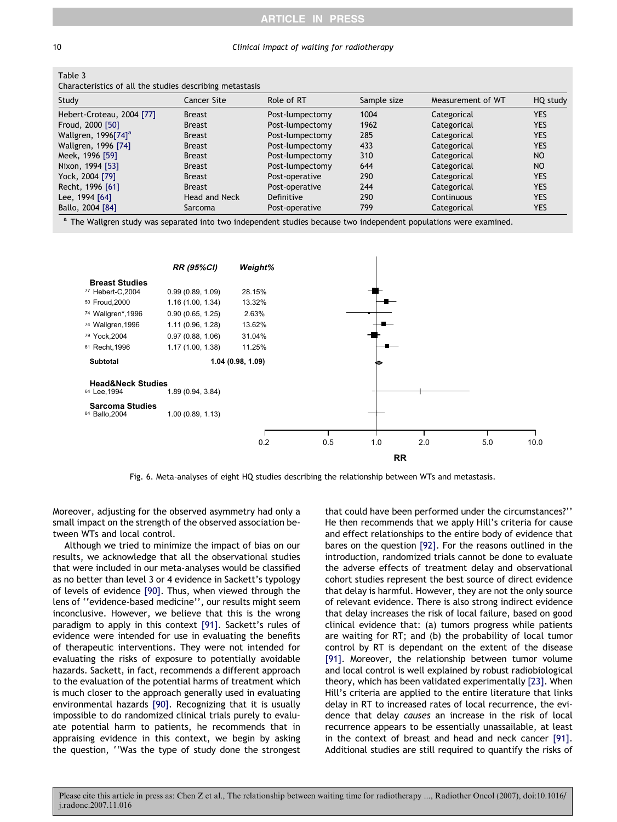#### Clinical impact of waiting for radiotherapy

<span id="page-9-0"></span>

| ÷ |  |
|---|--|
|   |  |
|   |  |
|   |  |

Table 3

| Characteristics of all the studies describing metastasis |               |                 |             |                   |            |
|----------------------------------------------------------|---------------|-----------------|-------------|-------------------|------------|
| Study                                                    | Cancer Site   | Role of RT      | Sample size | Measurement of WT | HQ study   |
| Hebert-Croteau, 2004 [77]                                | <b>Breast</b> | Post-lumpectomy | 1004        | Categorical       | <b>YES</b> |
| Froud, 2000 [50]                                         | <b>Breast</b> | Post-lumpectomy | 1962        | Categorical       | <b>YES</b> |
| Wallgren, 1996[74] <sup>a</sup>                          | <b>Breast</b> | Post-lumpectomy | 285         | Categorical       | <b>YES</b> |
| Wallgren, 1996 [74]                                      | <b>Breast</b> | Post-lumpectomy | 433         | Categorical       | <b>YES</b> |
| Meek, 1996 [59]                                          | <b>Breast</b> | Post-lumpectomy | 310         | Categorical       | NO         |
| Nixon, 1994 [53]                                         | <b>Breast</b> | Post-lumpectomy | 644         | Categorical       | NO         |
| Yock, 2004 [79]                                          | <b>Breast</b> | Post-operative  | 290         | Categorical       | <b>YES</b> |
| Recht, 1996 [61]                                         | <b>Breast</b> | Post-operative  | 244         | Categorical       | <b>YES</b> |
| Lee, 1994 [64]                                           | Head and Neck | Definitive      | 290         | Continuous        | <b>YES</b> |
| Ballo, 2004 [84]                                         | Sarcoma       | Post-operative  | 799         | Categorical       | <b>YES</b> |

<sup>a</sup> The Wallgren study was separated into two independent studies because two independent populations were examined.



Fig. 6. Meta-analyses of eight HQ studies describing the relationship between WTs and metastasis.

Moreover, adjusting for the observed asymmetry had only a small impact on the strength of the observed association between WTs and local control.

Although we tried to minimize the impact of bias on our results, we acknowledge that all the observational studies that were included in our meta-analyses would be classified as no better than level 3 or 4 evidence in Sackett's typology of levels of evidence [\[90\]](#page-13-0). Thus, when viewed through the lens of ''evidence-based medicine'', our results might seem inconclusive. However, we believe that this is the wrong paradigm to apply in this context [\[91\]](#page-13-0). Sackett's rules of evidence were intended for use in evaluating the benefits of therapeutic interventions. They were not intended for evaluating the risks of exposure to potentially avoidable hazards. Sackett, in fact, recommends a different approach to the evaluation of the potential harms of treatment which is much closer to the approach generally used in evaluating environmental hazards [\[90\]](#page-13-0). Recognizing that it is usually impossible to do randomized clinical trials purely to evaluate potential harm to patients, he recommends that in appraising evidence in this context, we begin by asking the question, ''Was the type of study done the strongest that could have been performed under the circumstances?'' He then recommends that we apply Hill's criteria for cause and effect relationships to the entire body of evidence that bares on the question [\[92\]](#page-13-0). For the reasons outlined in the introduction, randomized trials cannot be done to evaluate the adverse effects of treatment delay and observational cohort studies represent the best source of direct evidence that delay is harmful. However, they are not the only source of relevant evidence. There is also strong indirect evidence that delay increases the risk of local failure, based on good clinical evidence that: (a) tumors progress while patients are waiting for RT; and (b) the probability of local tumor control by RT is dependant on the extent of the disease [\[91\].](#page-13-0) Moreover, the relationship between tumor volume and local control is well explained by robust radiobiological theory, which has been validated experimentally [\[23\]](#page-12-0). When Hill's criteria are applied to the entire literature that links delay in RT to increased rates of local recurrence, the evidence that delay causes an increase in the risk of local recurrence appears to be essentially unassailable, at least in the context of breast and head and neck cancer [\[91\].](#page-13-0) Additional studies are still required to quantify the risks of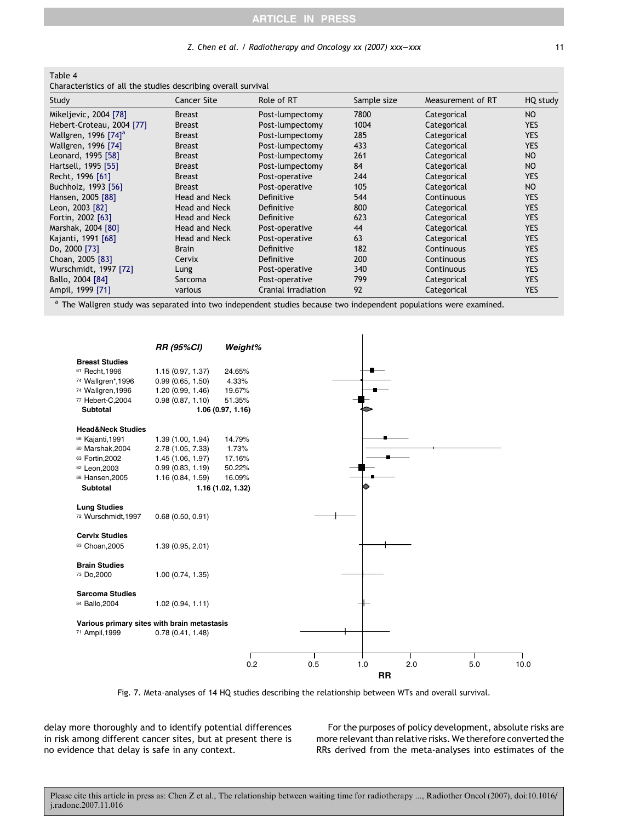# ARTICLE IN PRESS

#### Z. Chen et al. / Radiotherapy and Oncology xx (2007) xxx–xxx 11

<span id="page-10-0"></span>

| Table 4                                                        |  |  |  |
|----------------------------------------------------------------|--|--|--|
| Characteristics of all the studies describing overall survival |  |  |  |

| Study                            | <b>Cancer Site</b> | Role of RT          | Sample size | Measurement of RT | HQ study   |
|----------------------------------|--------------------|---------------------|-------------|-------------------|------------|
| Mikeljevic, 2004 [78]            | <b>Breast</b>      | Post-lumpectomy     | 7800        | Categorical       | NO         |
| Hebert-Croteau, 2004 [77]        | <b>Breast</b>      | Post-lumpectomy     | 1004        | Categorical       | <b>YES</b> |
| Wallgren, 1996 [74] <sup>a</sup> | <b>Breast</b>      | Post-lumpectomy     | 285         | Categorical       | <b>YES</b> |
| Wallgren, 1996 [74]              | <b>Breast</b>      | Post-lumpectomy     | 433         | Categorical       | <b>YES</b> |
| Leonard, 1995 [58]               | <b>Breast</b>      | Post-lumpectomy     | 261         | Categorical       | NO         |
| Hartsell, 1995 [55]              | <b>Breast</b>      | Post-lumpectomy     | 84          | Categorical       | NO         |
| Recht, 1996 [61]                 | <b>Breast</b>      | Post-operative      | 244         | Categorical       | <b>YES</b> |
| Buchholz, 1993 [56]              | <b>Breast</b>      | Post-operative      | 105         | Categorical       | NO         |
| Hansen, 2005 [88]                | Head and Neck      | Definitive          | 544         | Continuous        | <b>YES</b> |
| Leon, 2003 [82]                  | Head and Neck      | Definitive          | 800         | Categorical       | <b>YES</b> |
| Fortin, 2002 [63]                | Head and Neck      | Definitive          | 623         | Categorical       | <b>YES</b> |
| Marshak, 2004 [80]               | Head and Neck      | Post-operative      | 44          | Categorical       | <b>YES</b> |
| Kajanti, 1991 [68]               | Head and Neck      | Post-operative      | 63          | Categorical       | <b>YES</b> |
| Do, 2000 [73]                    | <b>Brain</b>       | Definitive          | 182         | Continuous        | <b>YES</b> |
| Choan, 2005 [83]                 | Cervix             | Definitive          | 200         | Continuous        | <b>YES</b> |
| Wurschmidt, 1997 [72]            | Lung               | Post-operative      | 340         | Continuous        | <b>YES</b> |
| Ballo, 2004 [84]                 | Sarcoma            | Post-operative      | 799         | Categorical       | <b>YES</b> |
| Ampil, 1999 [71]                 | various            | Cranial irradiation | 92          | Categorical       | <b>YES</b> |

<sup>a</sup> The Wallgren study was separated into two independent studies because two independent populations were examined.



Fig. 7. Meta-analyses of 14 HQ studies describing the relationship between WTs and overall survival.

delay more thoroughly and to identify potential differences in risk among different cancer sites, but at present there is no evidence that delay is safe in any context.

For the purposes of policy development, absolute risks are more relevant than relative risks. We therefore converted the RRs derived from the meta-analyses into estimates of the

Please cite this article in press as: Chen Z et al., The relationship between waiting time for radiotherapy ..., Radiother Oncol (2007), doi:10.1016/ j.radonc.2007.11.016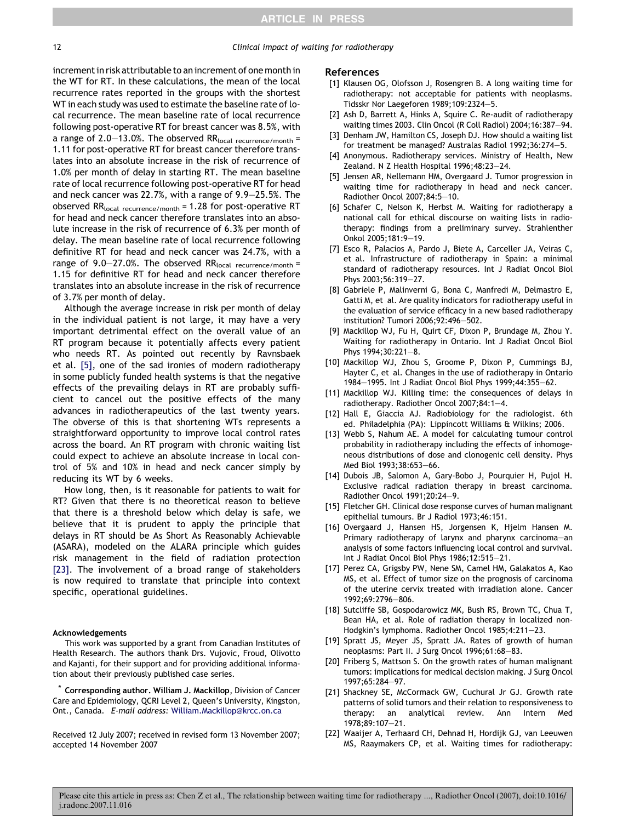<span id="page-11-0"></span>increment in risk attributable to an increment of one month in the WT for RT. In these calculations, the mean of the local recurrence rates reported in the groups with the shortest WT in each study was used to estimate the baseline rate of local recurrence. The mean baseline rate of local recurrence following post-operative RT for breast cancer was 8.5%, with a range of  $2.0-13.0%$ . The observed RR<sub>local recurrence/month</sub> = 1.11 for post-operative RT for breast cancer therefore translates into an absolute increase in the risk of recurrence of 1.0% per month of delay in starting RT. The mean baseline rate of local recurrence following post-operative RT for head and neck cancer was 22.7%, with a range of 9.9–25.5%. The observed RRlocal recurrence/month = 1.28 for post-operative RT for head and neck cancer therefore translates into an absolute increase in the risk of recurrence of 6.3% per month of delay. The mean baseline rate of local recurrence following definitive RT for head and neck cancer was 24.7%, with a range of 9.0-27.0%. The observed  $RR_{local recurrence/month}$  = 1.15 for definitive RT for head and neck cancer therefore translates into an absolute increase in the risk of recurrence of 3.7% per month of delay.

Although the average increase in risk per month of delay in the individual patient is not large, it may have a very important detrimental effect on the overall value of an RT program because it potentially affects every patient who needs RT. As pointed out recently by Ravnsbaek et al. [5], one of the sad ironies of modern radiotherapy in some publicly funded health systems is that the negative effects of the prevailing delays in RT are probably sufficient to cancel out the positive effects of the many advances in radiotherapeutics of the last twenty years. The obverse of this is that shortening WTs represents a straightforward opportunity to improve local control rates across the board. An RT program with chronic waiting list could expect to achieve an absolute increase in local control of 5% and 10% in head and neck cancer simply by reducing its WT by 6 weeks.

How long, then, is it reasonable for patients to wait for RT? Given that there is no theoretical reason to believe that there is a threshold below which delay is safe, we believe that it is prudent to apply the principle that delays in RT should be As Short As Reasonably Achievable (ASARA), modeled on the ALARA principle which guides risk management in the field of radiation protection [\[23\].](#page-12-0) The involvement of a broad range of stakeholders is now required to translate that principle into context specific, operational guidelines.

#### Acknowledgements

This work was supported by a grant from Canadian Institutes of Health Research. The authors thank Drs. Vujovic, Froud, Olivotto and Kajanti, for their support and for providing additional information about their previously published case series.

\* Corresponding author. William J. Mackillop, Division of Cancer Care and Epidemiology, QCRI Level 2, Queen's University, Kingston, Ont., Canada. E-mail address: [William.Mackillop@krcc.on.ca](mailto:William.Mackillop@krcc.on.ca)

Received 12 July 2007; received in revised form 13 November 2007; accepted 14 November 2007

#### References

- [1] Klausen OG, Olofsson J, Rosengren B. A long waiting time for radiotherapy: not acceptable for patients with neoplasms. Tidsskr Nor Laegeforen 1989;109:2324–5.
- [2] Ash D, Barrett A, Hinks A, Squire C. Re-audit of radiotherapy waiting times 2003. Clin Oncol (R Coll Radiol) 2004;16:387–94.
- [3] Denham JW, Hamilton CS, Joseph DJ. How should a waiting list for treatment be managed? Australas Radiol 1992;36:274–5.
- [4] Anonymous. Radiotherapy services. Ministry of Health, New Zealand. N Z Health Hospital 1996;48:23–24.
- [5] Jensen AR, Nellemann HM, Overgaard J. Tumor progression in waiting time for radiotherapy in head and neck cancer. Radiother Oncol 2007;84:5–10.
- [6] Schafer C, Nelson K, Herbst M. Waiting for radiotherapy a national call for ethical discourse on waiting lists in radiotherapy: findings from a preliminary survey. Strahlenther Onkol 2005;181:9–19.
- [7] Esco R, Palacios A, Pardo J, Biete A, Carceller JA, Veiras C, et al. Infrastructure of radiotherapy in Spain: a minimal standard of radiotherapy resources. Int J Radiat Oncol Biol Phys 2003;56:319–27.
- [8] Gabriele P, Malinverni G, Bona C, Manfredi M, Delmastro E, Gatti M, et al. Are quality indicators for radiotherapy useful in the evaluation of service efficacy in a new based radiotherapy institution? Tumori 2006;92:496–502.
- [9] Mackillop WJ, Fu H, Quirt CF, Dixon P, Brundage M, Zhou Y. Waiting for radiotherapy in Ontario. Int J Radiat Oncol Biol Phys 1994;30:221–8.
- [10] Mackillop WJ, Zhou S, Groome P, Dixon P, Cummings BJ, Hayter C, et al. Changes in the use of radiotherapy in Ontario 1984–1995. Int J Radiat Oncol Biol Phys 1999;44:355–62.
- [11] Mackillop WJ. Killing time: the consequences of delays in radiotherapy. Radiother Oncol 2007;84:1–4.
- [12] Hall E, Giaccia AJ. Radiobiology for the radiologist. 6th ed. Philadelphia (PA): Lippincott Williams & Wilkins; 2006.
- [13] Webb S, Nahum AE. A model for calculating tumour control probability in radiotherapy including the effects of inhomogeneous distributions of dose and clonogenic cell density. Phys Med Biol 1993;38:653–66.
- [14] Dubois JB, Salomon A, Gary-Bobo J, Pourquier H, Pujol H. Exclusive radical radiation therapy in breast carcinoma. Radiother Oncol 1991;20:24–9.
- [15] Fletcher GH. Clinical dose response curves of human malignant epithelial tumours. Br J Radiol 1973;46:151.
- [16] Overgaard J, Hansen HS, Jorgensen K, Hjelm Hansen M. Primary radiotherapy of larynx and pharynx carcinoma–an analysis of some factors influencing local control and survival. Int J Radiat Oncol Biol Phys 1986;12:515–21.
- [17] Perez CA, Grigsby PW, Nene SM, Camel HM, Galakatos A, Kao MS, et al. Effect of tumor size on the prognosis of carcinoma of the uterine cervix treated with irradiation alone. Cancer 1992;69:2796–806.
- [18] Sutcliffe SB, Gospodarowicz MK, Bush RS, Brown TC, Chua T, Bean HA, et al. Role of radiation therapy in localized non-Hodgkin's lymphoma. Radiother Oncol 1985;4:211–23.
- [19] Spratt JS, Meyer JS, Spratt JA. Rates of growth of human neoplasms: Part II. J Surg Oncol 1996;61:68–83.
- [20] Friberg S, Mattson S. On the growth rates of human malignant tumors: implications for medical decision making. J Surg Oncol 1997;65:284–97.
- [21] Shackney SE, McCormack GW, Cuchural Jr GJ. Growth rate patterns of solid tumors and their relation to responsiveness to therapy: an analytical review. Ann Intern Med 1978;89:107–21.
- [22] Waaijer A, Terhaard CH, Dehnad H, Hordijk GJ, van Leeuwen MS, Raaymakers CP, et al. Waiting times for radiotherapy: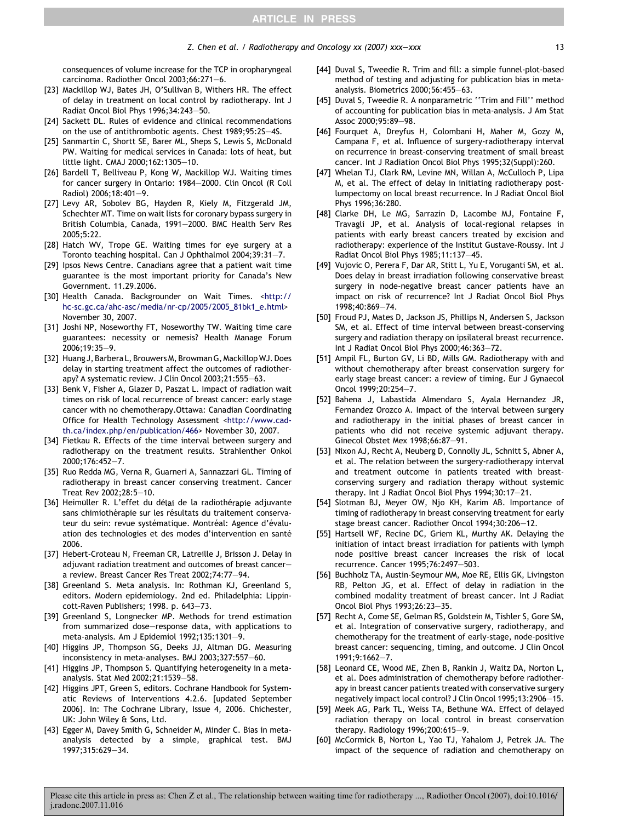<span id="page-12-0"></span>consequences of volume increase for the TCP in oropharyngeal carcinoma. Radiother Oncol 2003;66:271–6.

- [23] Mackillop WJ, Bates JH, O'Sullivan B, Withers HR. The effect of delay in treatment on local control by radiotherapy. Int J Radiat Oncol Biol Phys 1996;34:243–50.
- [24] Sackett DL. Rules of evidence and clinical recommendations on the use of antithrombotic agents. Chest 1989;95:2S–4S.
- [25] Sanmartin C, Shortt SE, Barer ML, Sheps S, Lewis S, McDonald PW. Waiting for medical services in Canada: lots of heat, but little light. CMAJ 2000;162:1305–10.
- [26] Bardell T, Belliveau P, Kong W, Mackillop WJ. Waiting times for cancer surgery in Ontario: 1984–2000. Clin Oncol (R Coll Radiol) 2006;18:401–9.
- [27] Levy AR, Sobolev BG, Hayden R, Kiely M, Fitzgerald JM, Schechter MT. Time on wait lists for coronary bypass surgery in British Columbia, Canada, 1991–2000. BMC Health Serv Res 2005;5:22.
- [28] Hatch WV, Trope GE. Waiting times for eye surgery at a Toronto teaching hospital. Can J Ophthalmol 2004;39:31–7.
- [29] Ipsos News Centre. Canadians agree that a patient wait time guarantee is the most important priority for Canada's New Government. 11.29.2006.
- [30] Health Canada. Backgrounder on Wait Times. [<http://](http://hc-sc.gc.ca/ahc-asc/media/nr-cp/2005/2005_816R1_e.html) [hc-sc.gc.ca/ahc-asc/media/nr-cp/2005/2005\\_81bk1\\_e.html](http://hc-sc.gc.ca/ahc-asc/media/nr-cp/2005/2005_816R1_e.html)> November 30, 2007.
- [31] Joshi NP, Noseworthy FT, Noseworthy TW. Waiting time care guarantees: necessity or nemesis? Health Manage Forum 2006;19:35–9.
- [32] Huang J, Barbera L, Brouwers M, Browman G, Mackillop WJ. Does delay in starting treatment affect the outcomes of radiotherapy? A systematic review. J Clin Oncol 2003;21:555–63.
- [33] Benk V, Fisher A, Glazer D, Paszat L. Impact of radiation wait times on risk of local recurrence of breast cancer: early stage cancer with no chemotherapy.Ottawa: Canadian Coordinating Office for Health Technology Assessment <[http://www.cad](http://www.cadth.ca/index.php/en/publication/466)[th.ca/index.php/en/publication/466>](http://www.cadth.ca/index.php/en/publication/466) November 30, 2007.
- [34] Fietkau R. Effects of the time interval between surgery and radiotherapy on the treatment results. Strahlenther Onkol 2000;176:452–7.
- [35] Ruo Redda MG, Verna R, Guarneri A, Sannazzari GL. Timing of radiotherapy in breast cancer conserving treatment. Cancer Treat Rev 2002;28:5–10.
- [36] Heimüller R. L'effet du délai de la radiothérapie adjuvante sans chimiothérapie sur les résultats du traitement conservateur du sein: revue systématique. Montréal: Agence d'évaluation des technologies et des modes d'intervention en santé 2006.
- [37] Hebert-Croteau N, Freeman CR, Latreille J, Brisson J. Delay in adjuvant radiation treatment and outcomes of breast cancer– a review. Breast Cancer Res Treat 2002;74:77–94.
- [38] Greenland S. Meta analysis. In: Rothman KJ, Greenland S, editors. Modern epidemiology. 2nd ed. Philadelphia: Lippincott-Raven Publishers; 1998. p. 643–73.
- [39] Greenland S, Longnecker MP. Methods for trend estimation from summarized dose–response data, with applications to meta-analysis. Am J Epidemiol 1992;135:1301–9.
- [40] Higgins JP, Thompson SG, Deeks JJ, Altman DG. Measuring inconsistency in meta-analyses. BMJ 2003;327:557–60.
- [41] Higgins JP, Thompson S. Quantifying heterogeneity in a metaanalysis. Stat Med 2002;21:1539–58.
- [42] Higgins JPT, Green S, editors. Cochrane Handbook for Systematic Reviews of Interventions 4.2.6. [updated September 2006]. In: The Cochrane Library, Issue 4, 2006. Chichester, UK: John Wiley & Sons, Ltd.
- [43] Egger M, Davey Smith G, Schneider M, Minder C. Bias in metaanalysis detected by a simple, graphical test. BMJ 1997;315:629–34.
- [44] Duval S, Tweedie R. Trim and fill: a simple funnel-plot-based method of testing and adjusting for publication bias in metaanalysis. Biometrics 2000;56:455–63.
- [45] Duval S, Tweedie R. A nonparametric ''Trim and Fill'' method of accounting for publication bias in meta-analysis. J Am Stat Assoc 2000;95:89–98.
- [46] Fourquet A, Dreyfus H, Colombani H, Maher M, Gozy M, Campana F, et al. Influence of surgery-radiotherapy interval on recurrence in breast-conserving treatment of small breast cancer. Int J Radiation Oncol Biol Phys 1995;32(Suppl):260.
- [47] Whelan TJ, Clark RM, Levine MN, Willan A, McCulloch P, Lipa M, et al. The effect of delay in initiating radiotherapy postlumpectomy on local breast recurrence. In J Radiat Oncol Biol Phys 1996;36:280.
- [48] Clarke DH, Le MG, Sarrazin D, Lacombe MJ, Fontaine F, Travagli JP, et al. Analysis of local-regional relapses in patients with early breast cancers treated by excision and radiotherapy: experience of the Institut Gustave-Roussy. Int J Radiat Oncol Biol Phys 1985;11:137–45.
- [49] Vujovic O, Perera F, Dar AR, Stitt L, Yu E, Voruganti SM, et al. Does delay in breast irradiation following conservative breast surgery in node-negative breast cancer patients have an impact on risk of recurrence? Int J Radiat Oncol Biol Phys 1998;40:869–74.
- [50] Froud PJ, Mates D, Jackson JS, Phillips N, Andersen S, Jackson SM, et al. Effect of time interval between breast-conserving surgery and radiation therapy on ipsilateral breast recurrence. Int J Radiat Oncol Biol Phys 2000;46:363–72.
- [51] Ampil FL, Burton GV, Li BD, Mills GM, Radiotherapy with and without chemotherapy after breast conservation surgery for early stage breast cancer: a review of timing. Eur J Gynaecol Oncol 1999;20:254–7.
- [52] Bahena J, Labastida Almendaro S, Ayala Hernandez JR, Fernandez Orozco A. Impact of the interval between surgery and radiotherapy in the initial phases of breast cancer in patients who did not receive systemic adjuvant therapy. Ginecol Obstet Mex 1998;66:87–91.
- [53] Nixon AJ, Recht A, Neuberg D, Connolly JL, Schnitt S, Abner A, et al. The relation between the surgery-radiotherapy interval and treatment outcome in patients treated with breastconserving surgery and radiation therapy without systemic therapy. Int J Radiat Oncol Biol Phys 1994;30:17–21.
- [54] Slotman BJ, Meyer OW, Njo KH, Karim AB. Importance of timing of radiotherapy in breast conserving treatment for early stage breast cancer. Radiother Oncol 1994;30:206–12.
- [55] Hartsell WF, Recine DC, Griem KL, Murthy AK. Delaying the initiation of intact breast irradiation for patients with lymph node positive breast cancer increases the risk of local recurrence. Cancer 1995;76:2497–503.
- [56] Buchholz TA, Austin-Seymour MM, Moe RE, Ellis GK, Livingston RB, Pelton JG, et al. Effect of delay in radiation in the combined modality treatment of breast cancer. Int J Radiat Oncol Biol Phys 1993;26:23–35.
- [57] Recht A, Come SE, Gelman RS, Goldstein M, Tishler S, Gore SM, et al. Integration of conservative surgery, radiotherapy, and chemotherapy for the treatment of early-stage, node-positive breast cancer: sequencing, timing, and outcome. J Clin Oncol 1991;9:1662–7.
- [58] Leonard CE, Wood ME, Zhen B, Rankin J, Waitz DA, Norton L, et al. Does administration of chemotherapy before radiotherapy in breast cancer patients treated with conservative surgery negatively impact local control? J Clin Oncol 1995;13:2906–15.
- [59] Meek AG, Park TL, Weiss TA, Bethune WA. Effect of delayed radiation therapy on local control in breast conservation therapy. Radiology 1996;200:615–9.
- [60] McCormick B, Norton L, Yao TJ, Yahalom J, Petrek JA. The impact of the sequence of radiation and chemotherapy on